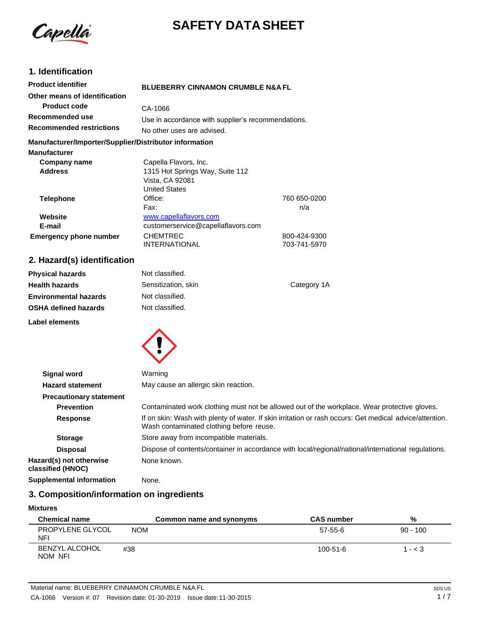

# **SAFETY DATA SHEET**

# **1. Identification**

| <b>Product identifier</b>                              | <b>BLUEBERRY CINNAMON CRUMBLE N&amp;A FL</b>       |              |
|--------------------------------------------------------|----------------------------------------------------|--------------|
| Other means of identification                          |                                                    |              |
| <b>Product code</b>                                    | CA-1066                                            |              |
| Recommended use                                        | Use in accordance with supplier's recommendations. |              |
| <b>Recommended restrictions</b>                        | No other uses are advised.                         |              |
| Manufacturer/Importer/Supplier/Distributor information |                                                    |              |
| <b>Manufacturer</b>                                    |                                                    |              |
| Company name                                           | Capella Flavors, Inc.                              |              |
| <b>Address</b>                                         | 1315 Hot Springs Way, Suite 112                    |              |
|                                                        | Vista, CA 92081                                    |              |
|                                                        | <b>United States</b>                               |              |
| <b>Telephone</b>                                       | Office:                                            | 760 650-0200 |
|                                                        | Fax:                                               | n/a          |
| Website                                                | www.capellaflavors.com                             |              |
| E-mail                                                 | customerservice@capellaflavors.com                 |              |
| <b>Emergency phone number</b>                          | <b>CHEMTREC</b>                                    | 800-424-9300 |
|                                                        | <b>INTERNATIONAL</b>                               | 703-741-5970 |

# **2. Hazard(s) identification**

| <b>Physical hazards</b>      | Not classified.     |             |
|------------------------------|---------------------|-------------|
| <b>Health hazards</b>        | Sensitization, skin | Category 1A |
| <b>Environmental hazards</b> | Not classified.     |             |
| <b>OSHA defined hazards</b>  | Not classified.     |             |
| Label elements               |                     |             |



| <b>Signal word</b>                           | Warning                                                                                                                                             |
|----------------------------------------------|-----------------------------------------------------------------------------------------------------------------------------------------------------|
| <b>Hazard statement</b>                      | May cause an allergic skin reaction.                                                                                                                |
| <b>Precautionary statement</b>               |                                                                                                                                                     |
| <b>Prevention</b>                            | Contaminated work clothing must not be allowed out of the workplace. Wear protective gloves.                                                        |
| Response                                     | If on skin: Wash with plenty of water. If skin irritation or rash occurs: Get medical advice/attention.<br>Wash contaminated clothing before reuse. |
| <b>Storage</b>                               | Store away from incompatible materials.                                                                                                             |
| <b>Disposal</b>                              | Dispose of contents/container in accordance with local/regional/national/international regulations.                                                 |
| Hazard(s) not otherwise<br>classified (HNOC) | None known.                                                                                                                                         |
| <b>Supplemental information</b>              | None.                                                                                                                                               |

# **3. Composition/information on ingredients**

### **Mixtures**

| <b>Chemical name</b>             | Common name and synonyms | <b>CAS number</b> | %          |
|----------------------------------|--------------------------|-------------------|------------|
| PROPYLENE GLYCOL<br><b>NFI</b>   | <b>NOM</b>               | 57-55-6           | $90 - 100$ |
| <b>BENZYL ALCOHOL</b><br>NOM NFI | #38                      | $100 - 51 - 6$    | $1 - < 3$  |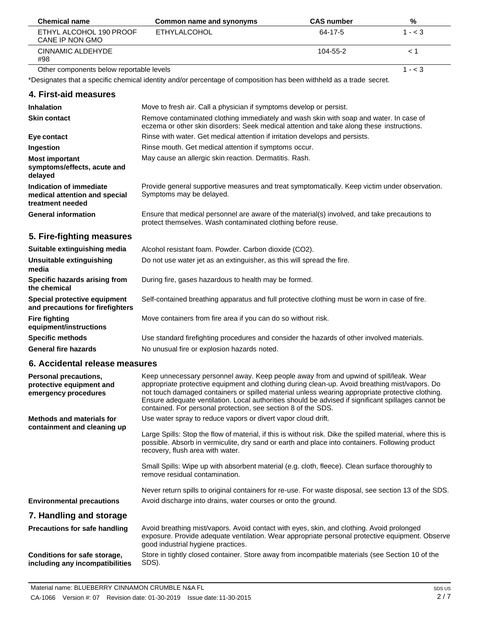| <b>Chemical name</b>                       | Common name and synonyms | <b>CAS</b> number | %         |
|--------------------------------------------|--------------------------|-------------------|-----------|
| ETHYL ALCOHOL 190 PROOF<br>CANE IP NON GMO | <b>ETHYLALCOHOL</b>      | 64-17-5           | $1 - < 3$ |
| CINNAMIC ALDEHYDE<br>#98                   |                          | 104-55-2          | ≤∣        |
| Other components below reportable levels   |                          |                   | 1 - < 3   |

\*Designates that a specific chemical identity and/or percentage of composition has been withheld as a trade secret.

| 4. First-aid measures                                                        |                                                                                                                                                                                     |
|------------------------------------------------------------------------------|-------------------------------------------------------------------------------------------------------------------------------------------------------------------------------------|
| <b>Inhalation</b>                                                            | Move to fresh air. Call a physician if symptoms develop or persist.                                                                                                                 |
| <b>Skin contact</b>                                                          | Remove contaminated clothing immediately and wash skin with soap and water. In case of<br>eczema or other skin disorders: Seek medical attention and take along these instructions. |
| Eye contact                                                                  | Rinse with water. Get medical attention if irritation develops and persists.                                                                                                        |
| Ingestion                                                                    | Rinse mouth. Get medical attention if symptoms occur.                                                                                                                               |
| <b>Most important</b><br>symptoms/effects, acute and<br>delayed              | May cause an allergic skin reaction. Dermatitis. Rash.                                                                                                                              |
| Indication of immediate<br>medical attention and special<br>treatment needed | Provide general supportive measures and treat symptomatically. Keep victim under observation.<br>Symptoms may be delayed.                                                           |
| <b>General information</b>                                                   | Ensure that medical personnel are aware of the material(s) involved, and take precautions to<br>protect themselves. Wash contaminated clothing before reuse.                        |

# **5. Fire-fighting measures**

 $\overline{a}$ 

| Suitable extinguishing media                                            | Alcohol resistant foam. Powder. Carbon dioxide (CO2).                                         |
|-------------------------------------------------------------------------|-----------------------------------------------------------------------------------------------|
| Unsuitable extinguishing<br>media                                       | Do not use water jet as an extinguisher, as this will spread the fire.                        |
| Specific hazards arising from<br>the chemical                           | During fire, gases hazardous to health may be formed.                                         |
| <b>Special protective equipment</b><br>and precautions for firefighters | Self-contained breathing apparatus and full protective clothing must be worn in case of fire. |
| Fire fighting<br>equipment/instructions                                 | Move containers from fire area if you can do so without risk.                                 |
| <b>Specific methods</b>                                                 | Use standard firefighting procedures and consider the hazards of other involved materials.    |
| <b>General fire hazards</b>                                             | No unusual fire or explosion hazards noted.                                                   |

### **6. Accidental release measures**

| Personal precautions,<br>protective equipment and<br>emergency procedures | Keep unnecessary personnel away. Keep people away from and upwind of spill/leak. Wear<br>appropriate protective equipment and clothing during clean-up. Avoid breathing mist/vapors. Do<br>not touch damaged containers or spilled material unless wearing appropriate protective clothing.<br>Ensure adequate ventilation. Local authorities should be advised if significant spillages cannot be<br>contained. For personal protection, see section 8 of the SDS. |
|---------------------------------------------------------------------------|---------------------------------------------------------------------------------------------------------------------------------------------------------------------------------------------------------------------------------------------------------------------------------------------------------------------------------------------------------------------------------------------------------------------------------------------------------------------|
| Methods and materials for<br>containment and cleaning up                  | Use water spray to reduce vapors or divert vapor cloud drift.<br>Large Spills: Stop the flow of material, if this is without risk. Dike the spilled material, where this is<br>possible. Absorb in vermiculite, dry sand or earth and place into containers. Following product<br>recovery, flush area with water.                                                                                                                                                  |
|                                                                           | Small Spills: Wipe up with absorbent material (e.g. cloth, fleece). Clean surface thoroughly to<br>remove residual contamination.                                                                                                                                                                                                                                                                                                                                   |
| <b>Environmental precautions</b>                                          | Never return spills to original containers for re-use. For waste disposal, see section 13 of the SDS.<br>Avoid discharge into drains, water courses or onto the ground.                                                                                                                                                                                                                                                                                             |
| 7. Handling and storage                                                   |                                                                                                                                                                                                                                                                                                                                                                                                                                                                     |
| <b>Precautions for safe handling</b>                                      | Avoid breathing mist/vapors. Avoid contact with eyes, skin, and clothing. Avoid prolonged<br>exposure. Provide adequate ventilation. Wear appropriate personal protective equipment. Observe<br>good industrial hygiene practices.                                                                                                                                                                                                                                  |
| Conditions for safe storage,<br>including any incompatibilities           | Store in tightly closed container. Store away from incompatible materials (see Section 10 of the<br>SDS).                                                                                                                                                                                                                                                                                                                                                           |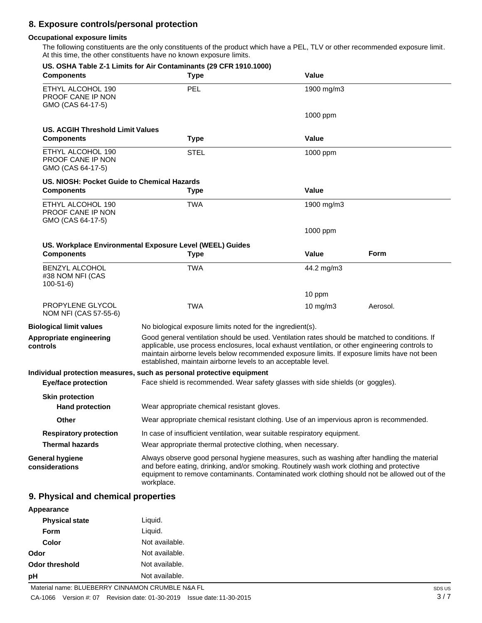## **8. Exposure controls/personal protection**

### **Occupational exposure limits**

The following constituents are the only constituents of the product which have a PEL, TLV or other recommended exposure limit. At this time, the other constituents have no known exposure limits.

| <b>Components</b>                                           | US. OSHA Table Z-1 Limits for Air Contaminants (29 CFR 1910.1000)<br><b>Type</b>                                                                                                                                                                                                                                                                                   | Value        |             |
|-------------------------------------------------------------|--------------------------------------------------------------------------------------------------------------------------------------------------------------------------------------------------------------------------------------------------------------------------------------------------------------------------------------------------------------------|--------------|-------------|
| ETHYL ALCOHOL 190<br>PROOF CANE IP NON<br>GMO (CAS 64-17-5) | PEL                                                                                                                                                                                                                                                                                                                                                                | 1900 mg/m3   |             |
|                                                             |                                                                                                                                                                                                                                                                                                                                                                    | 1000 ppm     |             |
| <b>US. ACGIH Threshold Limit Values</b>                     |                                                                                                                                                                                                                                                                                                                                                                    |              |             |
| <b>Components</b>                                           | <b>Type</b>                                                                                                                                                                                                                                                                                                                                                        | Value        |             |
| ETHYL ALCOHOL 190<br>PROOF CANE IP NON<br>GMO (CAS 64-17-5) | <b>STEL</b>                                                                                                                                                                                                                                                                                                                                                        | 1000 ppm     |             |
| US. NIOSH: Pocket Guide to Chemical Hazards                 |                                                                                                                                                                                                                                                                                                                                                                    |              |             |
| <b>Components</b>                                           | <b>Type</b>                                                                                                                                                                                                                                                                                                                                                        | <b>Value</b> |             |
| ETHYL ALCOHOL 190<br>PROOF CANE IP NON<br>GMO (CAS 64-17-5) | <b>TWA</b>                                                                                                                                                                                                                                                                                                                                                         | 1900 mg/m3   |             |
|                                                             |                                                                                                                                                                                                                                                                                                                                                                    | 1000 ppm     |             |
|                                                             | US. Workplace Environmental Exposure Level (WEEL) Guides                                                                                                                                                                                                                                                                                                           |              |             |
| <b>Components</b>                                           | <b>Type</b>                                                                                                                                                                                                                                                                                                                                                        | Value        | <b>Form</b> |
| <b>BENZYL ALCOHOL</b><br>#38 NOM NFI (CAS<br>$100 - 51 - 6$ | <b>TWA</b>                                                                                                                                                                                                                                                                                                                                                         | 44.2 mg/m3   |             |
|                                                             |                                                                                                                                                                                                                                                                                                                                                                    | 10 ppm       |             |
| PROPYLENE GLYCOL<br>NOM NFI (CAS 57-55-6)                   | <b>TWA</b>                                                                                                                                                                                                                                                                                                                                                         | 10 $mg/m3$   | Aerosol.    |
| <b>Biological limit values</b>                              | No biological exposure limits noted for the ingredient(s).                                                                                                                                                                                                                                                                                                         |              |             |
| Appropriate engineering<br>controls                         | Good general ventilation should be used. Ventilation rates should be matched to conditions. If<br>applicable, use process enclosures, local exhaust ventilation, or other engineering controls to<br>maintain airborne levels below recommended exposure limits. If exposure limits have not been<br>established, maintain airborne levels to an acceptable level. |              |             |
|                                                             | Individual protection measures, such as personal protective equipment                                                                                                                                                                                                                                                                                              |              |             |
| <b>Eye/face protection</b>                                  | Face shield is recommended. Wear safety glasses with side shields (or goggles).                                                                                                                                                                                                                                                                                    |              |             |
| <b>Skin protection</b>                                      |                                                                                                                                                                                                                                                                                                                                                                    |              |             |
| <b>Hand protection</b>                                      | Wear appropriate chemical resistant gloves.                                                                                                                                                                                                                                                                                                                        |              |             |
| Other                                                       | Wear appropriate chemical resistant clothing. Use of an impervious apron is recommended.                                                                                                                                                                                                                                                                           |              |             |
| <b>Respiratory protection</b>                               | In case of insufficient ventilation, wear suitable respiratory equipment.                                                                                                                                                                                                                                                                                          |              |             |
| <b>Thermal hazards</b>                                      | Wear appropriate thermal protective clothing, when necessary.                                                                                                                                                                                                                                                                                                      |              |             |
| <b>General hygiene</b><br>considerations                    | Always observe good personal hygiene measures, such as washing after handling the material<br>and before eating, drinking, and/or smoking. Routinely wash work clothing and protective<br>equipment to remove contaminants. Contaminated work clothing should not be allowed out of the<br>workplace.                                                              |              |             |
| 9. Physical and chemical properties                         |                                                                                                                                                                                                                                                                                                                                                                    |              |             |
| Appearance                                                  |                                                                                                                                                                                                                                                                                                                                                                    |              |             |

#### **Physical state Form Color Odor** Liquid. Liquid. Not available. Not available. **Odor threshold** Not available.

**pH** Not available.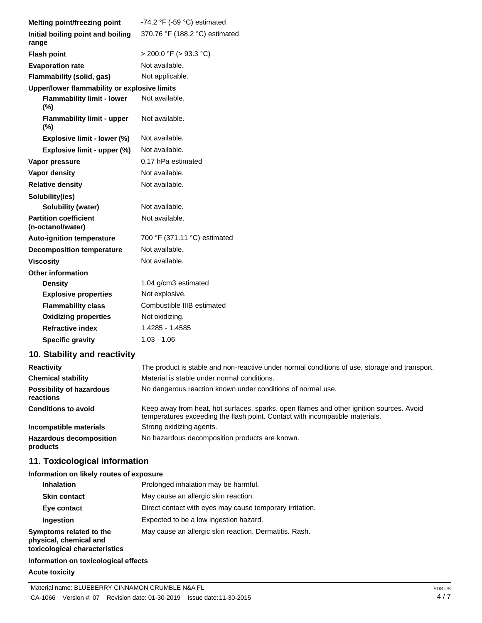| Melting point/freezing point                      | -74.2 $\degree$ F (-59 $\degree$ C) estimated                                                                                                                            |
|---------------------------------------------------|--------------------------------------------------------------------------------------------------------------------------------------------------------------------------|
| Initial boiling point and boiling<br>range        | 370.76 °F (188.2 °C) estimated                                                                                                                                           |
| <b>Flash point</b>                                | $>$ 200.0 °F ( $>$ 93.3 °C)                                                                                                                                              |
| <b>Evaporation rate</b>                           | Not available.                                                                                                                                                           |
| Flammability (solid, gas)                         | Not applicable.                                                                                                                                                          |
| Upper/lower flammability or explosive limits      |                                                                                                                                                                          |
| <b>Flammability limit - lower</b><br>(%)          | Not available.                                                                                                                                                           |
| <b>Flammability limit - upper</b><br>(%)          | Not available.                                                                                                                                                           |
| Explosive limit - lower (%)                       | Not available.                                                                                                                                                           |
| Explosive limit - upper (%)                       | Not available.                                                                                                                                                           |
| Vapor pressure                                    | 0.17 hPa estimated                                                                                                                                                       |
| Vapor density                                     | Not available.                                                                                                                                                           |
| <b>Relative density</b>                           | Not available.                                                                                                                                                           |
| Solubility(ies)                                   |                                                                                                                                                                          |
| <b>Solubility (water)</b>                         | Not available.                                                                                                                                                           |
| <b>Partition coefficient</b><br>(n-octanol/water) | Not available.                                                                                                                                                           |
| <b>Auto-ignition temperature</b>                  | 700 °F (371.11 °C) estimated                                                                                                                                             |
| <b>Decomposition temperature</b>                  | Not available.                                                                                                                                                           |
| <b>Viscosity</b>                                  | Not available.                                                                                                                                                           |
| <b>Other information</b>                          |                                                                                                                                                                          |
| <b>Density</b>                                    | 1.04 g/cm3 estimated                                                                                                                                                     |
| <b>Explosive properties</b>                       | Not explosive.                                                                                                                                                           |
| <b>Flammability class</b>                         | Combustible IIIB estimated                                                                                                                                               |
| <b>Oxidizing properties</b>                       | Not oxidizing.                                                                                                                                                           |
| <b>Refractive index</b>                           | 1.4285 - 1.4585                                                                                                                                                          |
| <b>Specific gravity</b>                           | $1.03 - 1.06$                                                                                                                                                            |
| 10. Stability and reactivity                      |                                                                                                                                                                          |
| <b>Reactivity</b>                                 | The product is stable and non-reactive under normal conditions of use, storage and transport.                                                                            |
| <b>Chemical stability</b>                         | Material is stable under normal conditions.                                                                                                                              |
| <b>Possibility of hazardous</b><br>reactions      | No dangerous reaction known under conditions of normal use.                                                                                                              |
| <b>Conditions to avoid</b>                        | Keep away from heat, hot surfaces, sparks, open flames and other ignition sources. Avoid<br>temperatures exceeding the flash point. Contact with incompatible materials. |

**Incompatible materials Hazardous decomposition products** Strong oxidizing agents. No hazardous decomposition products are known.

# **11. Toxicological information**

### **Information on likely routes of exposure**

| <b>Inhalation</b>                                                                  | Prolonged inhalation may be harmful.                     |
|------------------------------------------------------------------------------------|----------------------------------------------------------|
| <b>Skin contact</b>                                                                | May cause an allergic skin reaction.                     |
| Eye contact                                                                        | Direct contact with eyes may cause temporary irritation. |
| Ingestion                                                                          | Expected to be a low ingestion hazard.                   |
| Symptoms related to the<br>physical, chemical and<br>toxicological characteristics | May cause an allergic skin reaction. Dermatitis. Rash.   |

### **Information on toxicological effects**

### **Acute toxicity**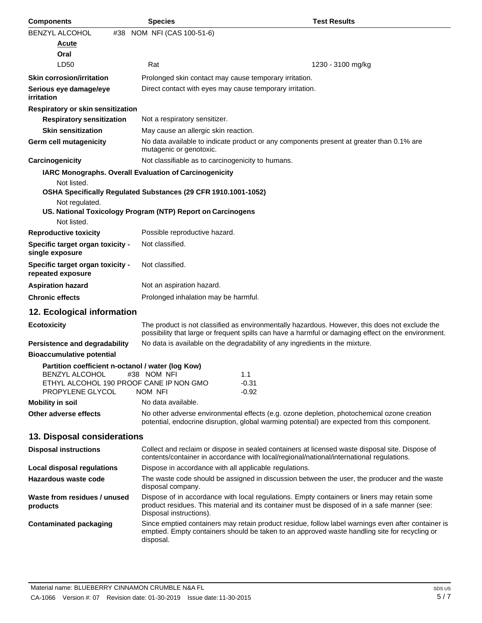| <b>Components</b>                                                                                                     | <b>Species</b>                                                 | <b>Test Results</b>                                                                                                                                                                                   |
|-----------------------------------------------------------------------------------------------------------------------|----------------------------------------------------------------|-------------------------------------------------------------------------------------------------------------------------------------------------------------------------------------------------------|
| <b>BENZYL ALCOHOL</b><br>#38                                                                                          | NOM NFI (CAS 100-51-6)                                         |                                                                                                                                                                                                       |
| <u>Acute</u>                                                                                                          |                                                                |                                                                                                                                                                                                       |
| Oral                                                                                                                  |                                                                |                                                                                                                                                                                                       |
| LD50                                                                                                                  | Rat                                                            | 1230 - 3100 mg/kg                                                                                                                                                                                     |
| <b>Skin corrosion/irritation</b>                                                                                      | Prolonged skin contact may cause temporary irritation.         |                                                                                                                                                                                                       |
| Serious eye damage/eye<br><i>irritation</i>                                                                           | Direct contact with eyes may cause temporary irritation.       |                                                                                                                                                                                                       |
| Respiratory or skin sensitization                                                                                     |                                                                |                                                                                                                                                                                                       |
| <b>Respiratory sensitization</b>                                                                                      | Not a respiratory sensitizer.                                  |                                                                                                                                                                                                       |
| <b>Skin sensitization</b>                                                                                             | May cause an allergic skin reaction.                           |                                                                                                                                                                                                       |
| Germ cell mutagenicity                                                                                                | mutagenic or genotoxic.                                        | No data available to indicate product or any components present at greater than 0.1% are                                                                                                              |
| Carcinogenicity                                                                                                       | Not classifiable as to carcinogenicity to humans.              |                                                                                                                                                                                                       |
|                                                                                                                       | IARC Monographs. Overall Evaluation of Carcinogenicity         |                                                                                                                                                                                                       |
| Not listed.                                                                                                           | OSHA Specifically Regulated Substances (29 CFR 1910.1001-1052) |                                                                                                                                                                                                       |
| Not regulated.                                                                                                        | US. National Toxicology Program (NTP) Report on Carcinogens    |                                                                                                                                                                                                       |
| Not listed.                                                                                                           |                                                                |                                                                                                                                                                                                       |
| <b>Reproductive toxicity</b>                                                                                          | Possible reproductive hazard.                                  |                                                                                                                                                                                                       |
| Specific target organ toxicity -<br>single exposure                                                                   | Not classified.                                                |                                                                                                                                                                                                       |
| Specific target organ toxicity -<br>repeated exposure                                                                 | Not classified.                                                |                                                                                                                                                                                                       |
| <b>Aspiration hazard</b>                                                                                              | Not an aspiration hazard.                                      |                                                                                                                                                                                                       |
| <b>Chronic effects</b>                                                                                                | Prolonged inhalation may be harmful.                           |                                                                                                                                                                                                       |
| 12. Ecological information                                                                                            |                                                                |                                                                                                                                                                                                       |
| <b>Ecotoxicity</b>                                                                                                    |                                                                | The product is not classified as environmentally hazardous. However, this does not exclude the<br>possibility that large or frequent spills can have a harmful or damaging effect on the environment. |
| <b>Persistence and degradability</b>                                                                                  |                                                                | No data is available on the degradability of any ingredients in the mixture.                                                                                                                          |
| <b>Bioaccumulative potential</b>                                                                                      |                                                                |                                                                                                                                                                                                       |
| Partition coefficient n-octanol / water (log Kow)<br><b>BENZYL ALCOHOL</b><br>ETHYL ALCOHOL 190 PROOF CANE IP NON GMO | #38 NOM NFI                                                    | 1.1<br>$-0.31$                                                                                                                                                                                        |
| PROPYLENE GLYCOL                                                                                                      | NOM NFI                                                        | $-0.92$                                                                                                                                                                                               |
| <b>Mobility in soil</b>                                                                                               | No data available.                                             |                                                                                                                                                                                                       |
| Other adverse effects                                                                                                 |                                                                | No other adverse environmental effects (e.g. ozone depletion, photochemical ozone creation<br>potential, endocrine disruption, global warming potential) are expected from this component.            |
| 13. Disposal considerations                                                                                           |                                                                |                                                                                                                                                                                                       |
| <b>Disposal instructions</b>                                                                                          |                                                                | Collect and reclaim or dispose in sealed containers at licensed waste disposal site. Dispose of<br>contents/container in accordance with local/regional/national/international regulations.           |
| <b>Local disposal regulations</b>                                                                                     | Dispose in accordance with all applicable regulations.         |                                                                                                                                                                                                       |
| Hazardous waste code                                                                                                  | disposal company.                                              | The waste code should be assigned in discussion between the user, the producer and the waste                                                                                                          |
| Waste from residues / unused<br>products                                                                              | Disposal instructions).                                        | Dispose of in accordance with local regulations. Empty containers or liners may retain some<br>product residues. This material and its container must be disposed of in a safe manner (see:           |
| <b>Contaminated packaging</b>                                                                                         | disposal.                                                      | Since emptied containers may retain product residue, follow label warnings even after container is<br>emptied. Empty containers should be taken to an approved waste handling site for recycling or   |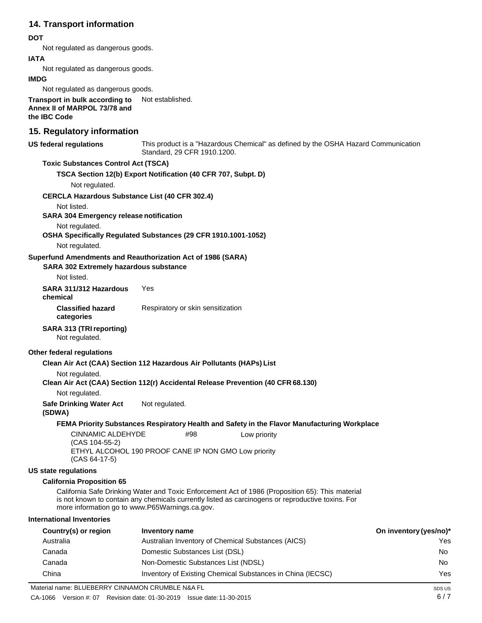# **14. Transport information**

### **DOT**

Not regulated as dangerous goods.

### **IATA**

Not regulated as dangerous goods.

#### **IMDG**

Not regulated as dangerous goods.

**Transport in bulk according to**  Not established. **Annex II of MARPOL 73/78 and the IBC Code**

# **15. Regulatory information**

| <b>US federal regulations</b>                                                                      | Standard, 29 CFR 1910.1200.       |                                                    | This product is a "Hazardous Chemical" as defined by the OSHA Hazard Communication                                                                                                                    |                        |
|----------------------------------------------------------------------------------------------------|-----------------------------------|----------------------------------------------------|-------------------------------------------------------------------------------------------------------------------------------------------------------------------------------------------------------|------------------------|
| <b>Toxic Substances Control Act (TSCA)</b>                                                         |                                   |                                                    |                                                                                                                                                                                                       |                        |
| TSCA Section 12(b) Export Notification (40 CFR 707, Subpt. D)                                      |                                   |                                                    |                                                                                                                                                                                                       |                        |
| Not regulated.                                                                                     |                                   |                                                    |                                                                                                                                                                                                       |                        |
| <b>CERCLA Hazardous Substance List (40 CFR 302.4)</b>                                              |                                   |                                                    |                                                                                                                                                                                                       |                        |
| Not listed.                                                                                        |                                   |                                                    |                                                                                                                                                                                                       |                        |
| SARA 304 Emergency release notification                                                            |                                   |                                                    |                                                                                                                                                                                                       |                        |
| Not regulated.<br>OSHA Specifically Regulated Substances (29 CFR 1910.1001-1052)                   |                                   |                                                    |                                                                                                                                                                                                       |                        |
| Not regulated.                                                                                     |                                   |                                                    |                                                                                                                                                                                                       |                        |
| Superfund Amendments and Reauthorization Act of 1986 (SARA)                                        |                                   |                                                    |                                                                                                                                                                                                       |                        |
| <b>SARA 302 Extremely hazardous substance</b>                                                      |                                   |                                                    |                                                                                                                                                                                                       |                        |
| Not listed.                                                                                        |                                   |                                                    |                                                                                                                                                                                                       |                        |
| SARA 311/312 Hazardous<br>chemical                                                                 | <b>Yes</b>                        |                                                    |                                                                                                                                                                                                       |                        |
| <b>Classified hazard</b><br>categories                                                             | Respiratory or skin sensitization |                                                    |                                                                                                                                                                                                       |                        |
| <b>SARA 313 (TRI reporting)</b><br>Not regulated.                                                  |                                   |                                                    |                                                                                                                                                                                                       |                        |
| Other federal regulations                                                                          |                                   |                                                    |                                                                                                                                                                                                       |                        |
| Clean Air Act (CAA) Section 112 Hazardous Air Pollutants (HAPs) List                               |                                   |                                                    |                                                                                                                                                                                                       |                        |
| Not regulated.<br>Clean Air Act (CAA) Section 112(r) Accidental Release Prevention (40 CFR 68.130) |                                   |                                                    |                                                                                                                                                                                                       |                        |
| Not regulated.                                                                                     |                                   |                                                    |                                                                                                                                                                                                       |                        |
| <b>Safe Drinking Water Act</b><br>(SDWA)                                                           | Not regulated.                    |                                                    |                                                                                                                                                                                                       |                        |
|                                                                                                    |                                   |                                                    | FEMA Priority Substances Respiratory Health and Safety in the Flavor Manufacturing Workplace                                                                                                          |                        |
| <b>CINNAMIC ALDEHYDE</b>                                                                           | #98                               | Low priority                                       |                                                                                                                                                                                                       |                        |
| (CAS 104-55-2)<br>ETHYL ALCOHOL 190 PROOF CANE IP NON GMO Low priority<br>$(CAS 64-17-5)$          |                                   |                                                    |                                                                                                                                                                                                       |                        |
| <b>US state regulations</b>                                                                        |                                   |                                                    |                                                                                                                                                                                                       |                        |
| <b>California Proposition 65</b>                                                                   |                                   |                                                    |                                                                                                                                                                                                       |                        |
| more information go to www.P65Warnings.ca.gov.                                                     |                                   |                                                    | California Safe Drinking Water and Toxic Enforcement Act of 1986 (Proposition 65): This material<br>is not known to contain any chemicals currently listed as carcinogens or reproductive toxins. For |                        |
| <b>International Inventories</b>                                                                   |                                   |                                                    |                                                                                                                                                                                                       |                        |
| Country(s) or region                                                                               | <b>Inventory name</b>             |                                                    |                                                                                                                                                                                                       | On inventory (yes/no)* |
| Australia                                                                                          |                                   | Australian Inventory of Chemical Substances (AICS) |                                                                                                                                                                                                       | Yes                    |
| Canada                                                                                             | Domestic Substances List (DSL)    |                                                    |                                                                                                                                                                                                       | No.                    |
| Canada                                                                                             |                                   | Non-Domestic Substances List (NDSL)                |                                                                                                                                                                                                       | No.                    |
| China                                                                                              |                                   |                                                    | Inventory of Existing Chemical Substances in China (IECSC)                                                                                                                                            | Yes                    |
| Material name: BLUEBERRY CINNAMON CRUMBLE N&A FL                                                   |                                   |                                                    |                                                                                                                                                                                                       | SDS US                 |